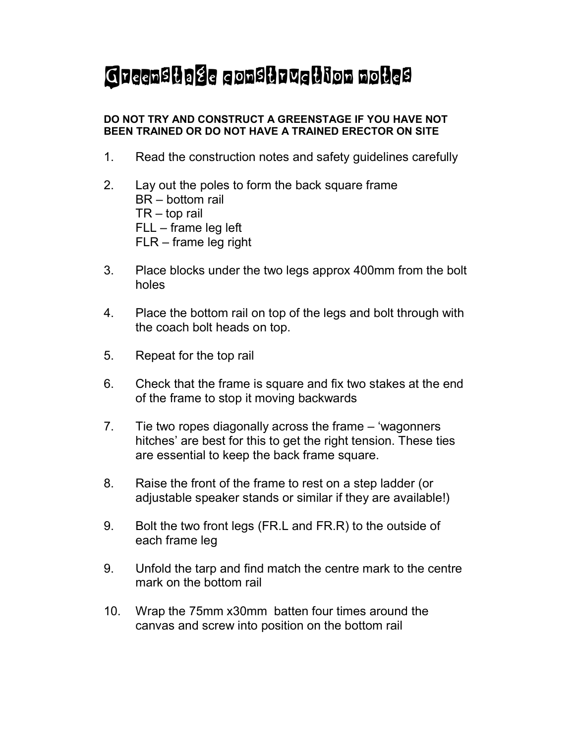## Greenstage construction notes

## DO NOT TRY AND CONSTRUCT A GREENSTAGE IF YOU HAVE NOT BEEN TRAINED OR DO NOT HAVE A TRAINED ERECTOR ON SITE

- 1. Read the construction notes and safety guidelines carefully
- 2. Lay out the poles to form the back square frame BR – bottom rail TR – top rail FLL – frame leg left FLR – frame leg right
- 3. Place blocks under the two legs approx 400mm from the bolt holes
- 4. Place the bottom rail on top of the legs and bolt through with the coach bolt heads on top.
- 5. Repeat for the top rail
- 6. Check that the frame is square and fix two stakes at the end of the frame to stop it moving backwards
- 7. Tie two ropes diagonally across the frame 'wagonners hitches' are best for this to get the right tension. These ties are essential to keep the back frame square.
- 8. Raise the front of the frame to rest on a step ladder (or adjustable speaker stands or similar if they are available!)
- 9. Bolt the two front legs (FR.L and FR.R) to the outside of each frame leg
- 9. Unfold the tarp and find match the centre mark to the centre mark on the bottom rail
- 10. Wrap the 75mm x30mm batten four times around the canvas and screw into position on the bottom rail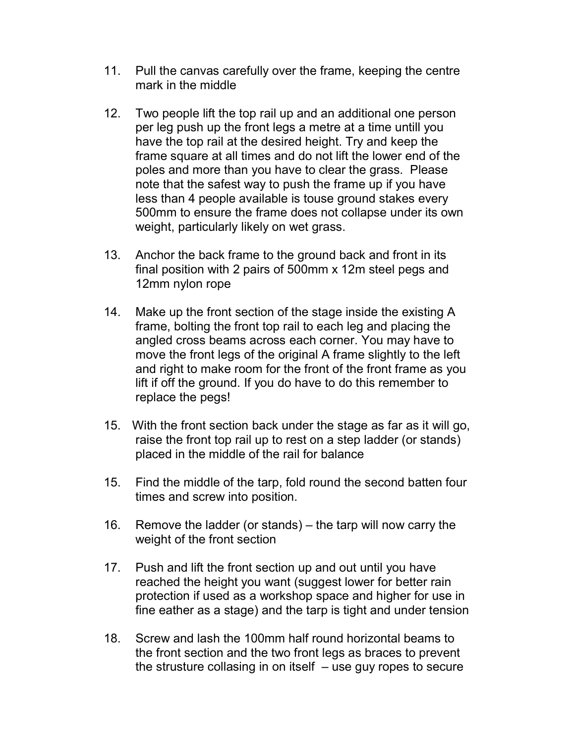- 11. Pull the canvas carefully over the frame, keeping the centre mark in the middle
- 12. Two people lift the top rail up and an additional one person per leg push up the front legs a metre at a time untill you have the top rail at the desired height. Try and keep the frame square at all times and do not lift the lower end of the poles and more than you have to clear the grass. Please note that the safest way to push the frame up if you have less than 4 people available is touse ground stakes every 500mm to ensure the frame does not collapse under its own weight, particularly likely on wet grass.
- 13. Anchor the back frame to the ground back and front in its final position with 2 pairs of 500mm x 12m steel pegs and 12mm nylon rope
- 14. Make up the front section of the stage inside the existing A frame, bolting the front top rail to each leg and placing the angled cross beams across each corner. You may have to move the front legs of the original A frame slightly to the left and right to make room for the front of the front frame as you lift if off the ground. If you do have to do this remember to replace the pegs!
- 15. With the front section back under the stage as far as it will go, raise the front top rail up to rest on a step ladder (or stands) placed in the middle of the rail for balance
- 15. Find the middle of the tarp, fold round the second batten four times and screw into position.
- 16. Remove the ladder (or stands) the tarp will now carry the weight of the front section
- 17. Push and lift the front section up and out until you have reached the height you want (suggest lower for better rain protection if used as a workshop space and higher for use in fine eather as a stage) and the tarp is tight and under tension
- 18. Screw and lash the 100mm half round horizontal beams to the front section and the two front legs as braces to prevent the strusture collasing in on itself  $-$  use guy ropes to secure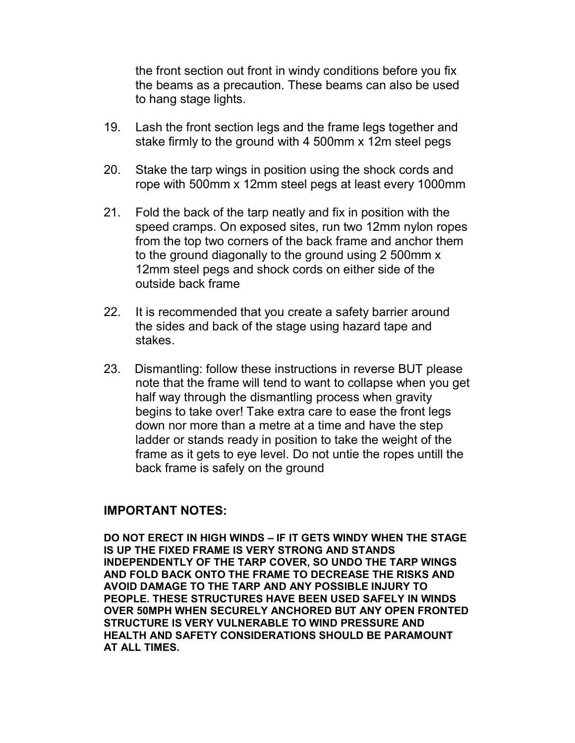the front section out front in windy conditions before you fix the beams as a precaution. These beams can also be used to hang stage lights.

- 19. Lash the front section legs and the frame legs together and stake firmly to the ground with 4 500mm x 12m steel pegs
- 20. Stake the tarp wings in position using the shock cords and rope with 500mm x 12mm steel pegs at least every 1000mm
- 21. Fold the back of the tarp neatly and fix in position with the speed cramps. On exposed sites, run two 12mm nylon ropes from the top two corners of the back frame and anchor them to the ground diagonally to the ground using 2 500mm x 12mm steel pegs and shock cords on either side of the outside back frame
- 22. It is recommended that you create a safety barrier around the sides and back of the stage using hazard tape and stakes.
- 23. Dismantling: follow these instructions in reverse BUT please note that the frame will tend to want to collapse when you get half way through the dismantling process when gravity begins to take over! Take extra care to ease the front legs down nor more than a metre at a time and have the step ladder or stands ready in position to take the weight of the frame as it gets to eye level. Do not untie the ropes untill the back frame is safely on the ground

## IMPORTANT NOTES:

DO NOT ERECT IN HIGH WINDS – IF IT GETS WINDY WHEN THE STAGE IS UP THE FIXED FRAME IS VERY STRONG AND STANDS INDEPENDENTLY OF THE TARP COVER, SO UNDO THE TARP WINGS AND FOLD BACK ONTO THE FRAME TO DECREASE THE RISKS AND AVOID DAMAGE TO THE TARP AND ANY POSSIBLE INJURY TO PEOPLE. THESE STRUCTURES HAVE BEEN USED SAFELY IN WINDS OVER 50MPH WHEN SECURELY ANCHORED BUT ANY OPEN FRONTED STRUCTURE IS VERY VULNERABLE TO WIND PRESSURE AND HEALTH AND SAFETY CONSIDERATIONS SHOULD BE PARAMOUNT AT ALL TIMES.